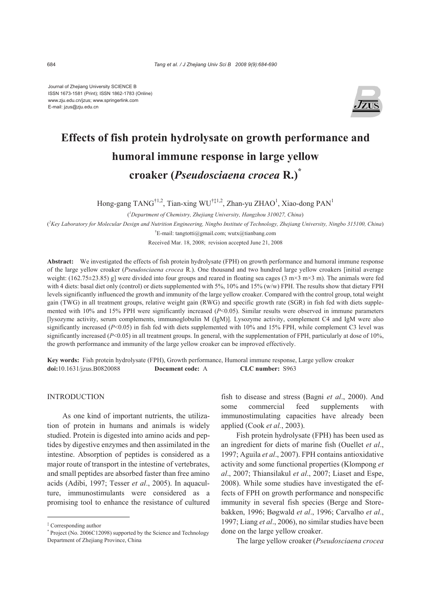Journal of Zhejiang University SCIENCE B ISSN 1673-1581 (Print); ISSN 1862-1783 (Online) www.zju.edu.cn/jzus; www.springerlink.com E-mail: jzus@zju.edu.cn



# **Effects of fish protein hydrolysate on growth performance and humoral immune response in large yellow croaker (***Pseudosciaena crocea* **R.)\***

Hong-gang TANG<sup>†1,2</sup>, Tian-xing WU<sup>†‡1,2</sup>, Zhan-yu ZHAO<sup>1</sup>, Xiao-dong PAN<sup>1</sup>

( *1 Department of Chemistry, Zhejiang University, Hangzhou 310027, China*)

( *2 Key Laboratory for Molecular Design and Nutrition Engineering, Ningbo Institute of Technology, Zhejiang University, Ningbo 315100, China*)

† E-mail: tangtotti@gmail.com; wutx@tianbang.com

Received Mar. 18, 2008; revision accepted June 21, 2008

**Abstract:** We investigated the effects of fish protein hydrolysate (FPH) on growth performance and humoral immune response of the large yellow croaker (*Pseudosciaena crocea* R.). One thousand and two hundred large yellow croakers [initial average weight:  $(162.75\pm 23.85)$  g] were divided into four groups and reared in floating sea cages  $(3 \text{ m} \times 3 \text{ m} \times 3 \text{ m})$ . The animals were fed with 4 diets: basal diet only (control) or diets supplemented with 5%, 10% and 15% (w/w) FPH. The results show that dietary FPH levels significantly influenced the growth and immunity of the large yellow croaker. Compared with the control group, total weight gain (TWG) in all treatment groups, relative weight gain (RWG) and specific growth rate (SGR) in fish fed with diets supplemented with 10% and 15% FPH were significantly increased ( $P<0.05$ ). Similar results were observed in immune parameters [lysozyme activity, serum complements, immunoglobulin M (IgM)]. Lysozyme activity, complement C4 and IgM were also significantly increased ( $P<0.05$ ) in fish fed with diets supplemented with 10% and 15% FPH, while complement C3 level was significantly increased ( $P<0.05$ ) in all treatment groups. In general, with the supplementation of FPH, particularly at dose of 10%, the growth performance and immunity of the large yellow croaker can be improved effectively.

**Key words:** Fish protein hydrolysate (FPH), Growth performance, Humoral immune response, Large yellow croaker **doi:**10.1631/jzus.B0820088 **Document code:** A **CLC number:** S963

## **INTRODUCTION**

As one kind of important nutrients, the utilization of protein in humans and animals is widely studied. Protein is digested into amino acids and peptides by digestive enzymes and then assimilated in the intestine. Absorption of peptides is considered as a major route of transport in the intestine of vertebrates, and small peptides are absorbed faster than free amino acids (Adibi, 1997; Tesser *et al*., 2005). In aquaculture, immunostimulants were considered as a promising tool to enhance the resistance of cultured

fish to disease and stress (Bagni *et al*., 2000). And some commercial feed supplements with immunostimulating capacities have already been applied (Cook *et al.*, 2003).

Fish protein hydrolysate (FPH) has been used as an ingredient for diets of marine fish (Ouellet *et al*., 1997; Aguila *et al*., 2007). FPH contains antioxidative activity and some functional properties (Klompong *et al*., 2007; Thiansilakul *et al*., 2007; Liaset and Espe, 2008). While some studies have investigated the effects of FPH on growth performance and nonspecific immunity in several fish species (Berge and Storebakken, 1996; Bøgwald *et al*., 1996; Carvalho *et al*., 1997; Liang *et al*., 2006), no similar studies have been done on the large yellow croaker.

The large yellow croaker (*Pseudosciaena crocea* 

<sup>‡</sup> Corresponding author

<sup>\*</sup> Project (No. 2006C12098) supported by the Science and Technology Department of Zhejiang Province, China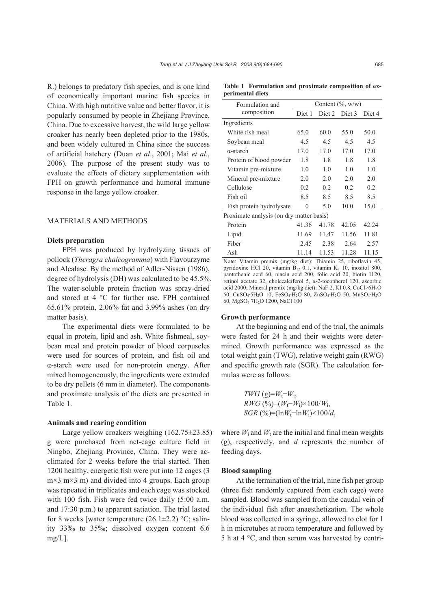R.) belongs to predatory fish species, and is one kind of economically important marine fish species in China. With high nutritive value and better flavor, it is popularly consumed by people in Zhejiang Province, China. Due to excessive harvest, the wild large yellow croaker has nearly been depleted prior to the 1980s, and been widely cultured in China since the success of artificial hatchery (Duan *et al*., 2001; Mai *et al*., 2006). The purpose of the present study was to evaluate the effects of dietary supplementation with FPH on growth performance and humoral immune response in the large yellow croaker.

# MATERIALS AND METHODS

## **Diets preparation**

FPH was produced by hydrolyzing tissues of pollock (*Theragra chalcogramma*) with Flavourzyme and Alcalase. By the method of Adler-Nissen (1986), degree of hydrolysis (DH) was calculated to be 45.5%. The water-soluble protein fraction was spray-dried and stored at 4 °C for further use. FPH contained 65.61% protein, 2.06% fat and 3.99% ashes (on dry matter basis).

The experimental diets were formulated to be equal in protein, lipid and ash. White fishmeal, soybean meal and protein powder of blood corpuscles were used for sources of protein, and fish oil and α-starch were used for non-protein energy. After mixed homogeneously, the ingredients were extruded to be dry pellets (6 mm in diameter). The components and proximate analysis of the diets are presented in Table 1.

## **Animals and rearing condition**

Large yellow croakers weighing (162.75±23.85) g were purchased from net-cage culture field in Ningbo, Zhejiang Province, China. They were acclimated for 2 weeks before the trial started. Then 1200 healthy, energetic fish were put into 12 cages (3  $m \times 3$  m $\times 3$  m) and divided into 4 groups. Each group was repeated in triplicates and each cage was stocked with 100 fish. Fish were fed twice daily (5:00 a.m. and 17:30 p.m.) to apparent satiation. The trial lasted for 8 weeks [water temperature  $(26.1 \pm 2.2)$  °C; salinity 33‰ to 35‰; dissolved oxygen content 6.6  $mg/L$ ].

|                  | Table 1 Formulation and proximate composition of ex- |  |  |  |
|------------------|------------------------------------------------------|--|--|--|
| perimental diets |                                                      |  |  |  |

| Formulation and                          | Content $(\%$ , w/w) |       |               |        |  |  |  |
|------------------------------------------|----------------------|-------|---------------|--------|--|--|--|
| composition                              | Diet 1               |       | Diet 2 Diet 3 | Diet 4 |  |  |  |
| Ingredients                              |                      |       |               |        |  |  |  |
| White fish meal                          | 65.0                 | 60.0  | 55.0          | 50.0   |  |  |  |
| Soybean meal                             | 4.5                  | 4.5   | 4.5           | 4.5    |  |  |  |
| $\alpha$ -starch                         | 17.0                 | 17.0  | 17.0          | 17.0   |  |  |  |
| Protein of blood powder                  | 1.8                  | 1.8   | 1.8           | 1.8    |  |  |  |
| Vitamin pre-mixture                      | 1.0                  | 1.0   | 1.0           | 1.0    |  |  |  |
| Mineral pre-mixture                      | 2.0                  | 2.0   | 2.0           | 2.0    |  |  |  |
| Cellulose                                | 0.2                  | 0.2   | 0.2           | 0.2    |  |  |  |
| Fish oil                                 | 8.5                  | 8.5   | 8.5           | 8.5    |  |  |  |
| Fish protein hydrolysate                 | $\theta$             | 5.0   | 10.0          | 15.0   |  |  |  |
| Proximate analysis (on dry matter basis) |                      |       |               |        |  |  |  |
| Protein                                  | 41.36                | 41.78 | 42.05         | 42.24  |  |  |  |
| Lipid                                    | 11.69                | 11.47 | 11.56         | 11.81  |  |  |  |
| Fiber                                    | 2.45                 | 2.38  | 2.64          | 2.57   |  |  |  |
| Ash                                      | 11.14                | 11.53 | 11.28         | 11.15  |  |  |  |

Note: Vitamin premix (mg/kg diet): Thiamin 25, riboflavin 45, pyridoxine HCl 20, vitamin  $B_{12}$  0.1, vitamin  $K_3$  10, inositol 800, pantothenic acid 60, niacin acid 200, folic acid 20, biotin 1120, retinol acetate 32, cholecalciferol 5, α-2-tocopherol 120, ascorbic acid 2000; Mineral premix (mg/kg diet): NaF 2, KI 0.8, CoCl<sub>2</sub>·6H<sub>2</sub>O 50, CuSO4·5H2O 10, FeSO4·H2O 80, ZnSO4·H2O 50, MnSO4·H2O 60, MgSO4·7H2O 1200, NaCl 100

#### **Growth performance**

At the beginning and end of the trial, the animals were fasted for 24 h and their weights were determined. Growth performance was expressed as the total weight gain (TWG), relative weight gain (RWG) and specific growth rate (SGR). The calculation formulas were as follows:

> $TWG$  (g)= $W_t$ − $W_i$ , *RWG* (%)= $(W_t - W_i) \times 100/W_i$ , *SGR* (%)= $(\ln W_t - \ln W_i) \times 100/d$ ,

where  $W_i$  and  $W_t$  are the initial and final mean weights (g), respectively, and *d* represents the number of feeding days.

## **Blood sampling**

At the termination of the trial, nine fish per group (three fish randomly captured from each cage) were sampled. Blood was sampled from the caudal vein of the individual fish after anaesthetization. The whole blood was collected in a syringe, allowed to clot for 1 h in microtubes at room temperature and followed by 5 h at 4 °C, and then serum was harvested by centri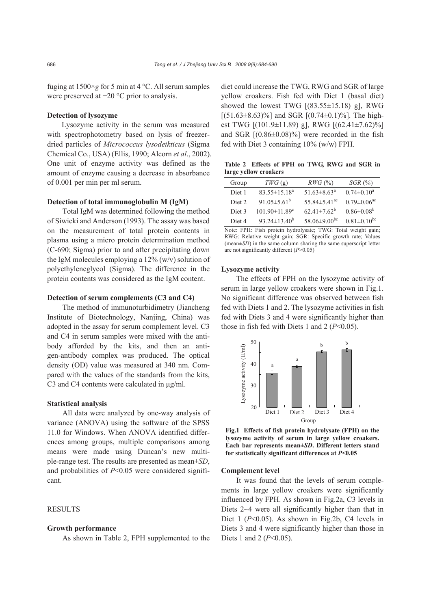fuging at  $1500 \times g$  for 5 min at 4 °C. All serum samples were preserved at −20 °C prior to analysis.

### **Detection of lysozyme**

Lysozyme activity in the serum was measured with spectrophotometry based on lysis of freezerdried particles of *Micrococcus lysodeikticus* (Sigma Chemical Co., USA) (Ellis, 1990; Alcorn *et al*., 2002). One unit of enzyme activity was defined as the amount of enzyme causing a decrease in absorbance of 0.001 per min per ml serum.

# **Detection of total immunoglobulin M (IgM)**

Total IgM was determined following the method of Siwicki and Anderson (1993). The assay was based on the measurement of total protein contents in plasma using a micro protein determination method (C-690; Sigma) prior to and after precipitating down the IgM molecules employing a  $12\%$  (w/v) solution of polyethyleneglycol (Sigma). The difference in the protein contents was considered as the IgM content.

## **Detection of serum complements (C3 and C4)**

The method of immunoturbidimetry (Jiancheng Institute of Biotechnology, Nanjing, China) was adopted in the assay for serum complement level. C3 and C4 in serum samples were mixed with the antibody afforded by the kits, and then an antigen-antibody complex was produced. The optical density (OD) value was measured at 340 nm. Compared with the values of the standards from the kits, C3 and C4 contents were calculated in μg/ml.

#### **Statistical analysis**

All data were analyzed by one-way analysis of variance (ANOVA) using the software of the SPSS 11.0 for Windows. When ANOVA identified differences among groups, multiple comparisons among means were made using Duncan's new multiple-range test. The results are presented as mean±*SD*, and probabilities of *P*<0.05 were considered significant.

# RESULTS

# **Growth performance**

As shown in Table 2, FPH supplemented to the

diet could increase the TWG, RWG and SGR of large yellow croakers. Fish fed with Diet 1 (basal diet) showed the lowest TWG  $[(83.55 \pm 15.18)$  g], RWG  $[(51.63 \pm 8.63)\%]$  and SGR  $[(0.74 \pm 0.1)\%]$ . The highest TWG [(101.9±11.89) g], RWG [(62.41±7.62)%] and SGR  $[(0.86 \pm 0.08)\%]$  were recorded in the fish fed with Diet 3 containing 10% (w/w) FPH.

**Table 2 Effects of FPH on TWG, RWG and SGR in large yellow croakers**

| Group             | $TWG$ (g)                       | $RWG \, (\%)$                  | $SGR$ $(\% )$                 |
|-------------------|---------------------------------|--------------------------------|-------------------------------|
| Diet 1            | $83.55 \pm 15.18^a$             | 51.63 $\pm$ 8.63 <sup>a</sup>  | $0.74 \pm 0.10^a$             |
| Diet <sub>2</sub> | 91.05 $\pm$ 5.61 <sup>b</sup>   | 55.84 $\pm$ 5.41 <sup>ac</sup> | $0.79 \pm 0.06$ <sup>ac</sup> |
| Diet 3            | $101.90 \pm 11.89$ <sup>c</sup> | $62.41 \pm 7.62^b$             | $0.86 \pm 0.08^b$             |
| Diet <sub>4</sub> | 93.24 $\pm$ 13.40 <sup>b</sup>  | 58.06 $\pm$ 9.00 <sup>bc</sup> | $0.81 \pm 0.10^{bc}$          |

Note: FPH: Fish protein hydrolysate; TWG: Total weight gain; RWG: Relative weight gain; SGR: Specific growth rate; Values (mean±*SD*) in the same column sharing the same superscript letter are not significantly different (*P*>0.05)

#### **Lysozyme activity**

The effects of FPH on the lysozyme activity of serum in large yellow croakers were shown in Fig.1. No significant difference was observed between fish fed with Diets 1 and 2. The lysozyme activities in fish fed with Diets 3 and 4 were significantly higher than those in fish fed with Diets 1 and 2  $(P<0.05)$ .



**Fig.1 Effects of fish protein hydrolysate (FPH) on the lysozyme activity of serum in large yellow croakers. Each bar represents mean±***SD***. Different letters stand**

## **Complement level**

It was found that the levels of serum complements in large yellow croakers were significantly influenced by FPH. As shown in Fig.2a, C3 levels in Diets 2~4 were all significantly higher than that in Diet 1 (*P*<0.05). As shown in Fig.2b, C4 levels in Diets 3 and 4 were significantly higher than those in Diets 1 and 2 (*P*<0.05).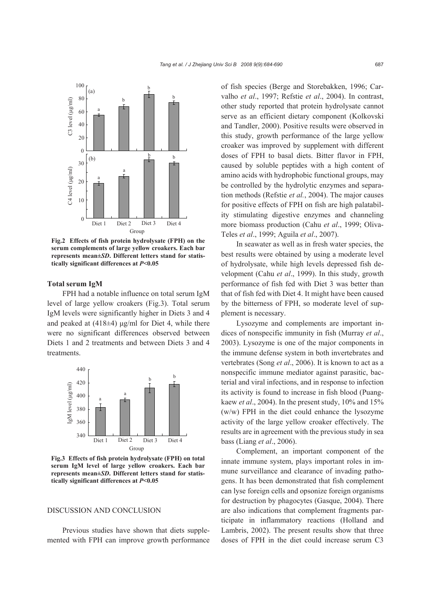

**Fig.2 Effects of fish protein hydrolysate (FPH) on the serum complements of large yellow croakers. Each bar represents mean±***SD***. Different letters stand for statistically significant differences at** *P***<0.05** 

#### **Total serum IgM**

FPH had a notable influence on total serum IgM level of large yellow croakers (Fig.3). Total serum IgM levels were significantly higher in Diets 3 and 4 and peaked at (418±4) μg/ml for Diet 4, while there were no significant differences observed between Diets 1 and 2 treatments and between Diets 3 and 4 treatments.



**Fig.3 Effects of fish protein hydrolysate (FPH) on total serum IgM level of large yellow croakers. Each bar represents mean±***SD***. Different letters stand for statis-**

# DISCUSSION AND CONCLUSION

Previous studies have shown that diets supplemented with FPH can improve growth performance of fish species (Berge and Storebakken, 1996; Carvalho *et al*., 1997; Refstie *et al*., 2004). In contrast, other study reported that protein hydrolysate cannot serve as an efficient dietary component (Kolkovski and Tandler, 2000). Positive results were observed in this study, growth performance of the large yellow croaker was improved by supplement with different doses of FPH to basal diets. Bitter flavor in FPH, caused by soluble peptides with a high content of amino acids with hydrophobic functional groups, may be controlled by the hydrolytic enzymes and separation methods (Refstie *et al.*, 2004). The major causes for positive effects of FPH on fish are high palatability stimulating digestive enzymes and channeling more biomass production (Cahu *et al*., 1999; Oliva-Teles *et al*., 1999; Aguila *et al*., 2007).

In seawater as well as in fresh water species, the best results were obtained by using a moderate level of hydrolysate, while high levels depressed fish development (Cahu *et al*., 1999). In this study, growth performance of fish fed with Diet 3 was better than that of fish fed with Diet 4. It might have been caused by the bitterness of FPH, so moderate level of supplement is necessary.

Lysozyme and complements are important indices of nonspecific immunity in fish (Murray *et al*., 2003). Lysozyme is one of the major components in the immune defense system in both invertebrates and vertebrates (Song *et al*., 2006). It is known to act as a nonspecific immune mediator against parasitic, bacterial and viral infections, and in response to infection its activity is found to increase in fish blood (Puangkaew *et al*., 2004). In the present study, 10% and 15% (w/w) FPH in the diet could enhance the lysozyme activity of the large yellow croaker effectively. The results are in agreement with the previous study in sea bass (Liang *et al*., 2006).

Complement, an important component of the innate immune system, plays important roles in immune surveillance and clearance of invading pathogens. It has been demonstrated that fish complement can lyse foreign cells and opsonize foreign organisms for destruction by phagocytes (Gasque, 2004). There are also indications that complement fragments participate in inflammatory reactions (Holland and Lambris, 2002). The present results show that three doses of FPH in the diet could increase serum C3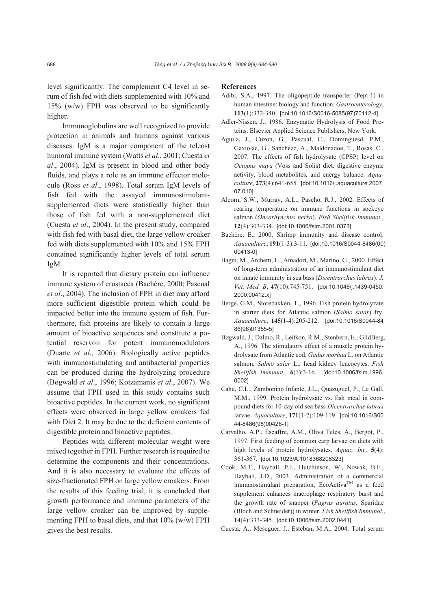level significantly. The complement C4 level in serum of fish fed with diets supplemented with 10% and 15% (w/w) FPH was observed to be significantly higher.

Immunoglobulins are well recognized to provide protection in animals and humans against various diseases. IgM is a major component of the teleost humoral immune system (Watts *et al*., 2001; Cuesta *et al*., 2004). IgM is present in blood and other body fluids, and plays a role as an immune effector molecule (Ross *et al*., 1998). Total serum IgM levels of fish fed with the assayed immunostimulantsupplemented diets were statistically higher than those of fish fed with a non-supplemented diet (Cuesta *et al*., 2004). In the present study, compared with fish fed with basal diet, the large yellow croaker fed with diets supplemented with 10% and 15% FPH contained significantly higher levels of total serum IgM.

It is reported that dietary protein can influence immune system of crustacea (Bachère, 2000; Pascual *et al*., 2004). The inclusion of FPH in diet may afford more sufficient digestible protein which could be impacted better into the immune system of fish. Furthermore, fish proteins are likely to contain a large amount of bioactive sequences and constitute a potential reservoir for potent immunomodulators (Duarte *et al*., 2006). Biologically active peptides with immunostimulating and antibacterial properties can be produced during the hydrolyzing procedure (Bøgwald *et al*., 1996; Kotzamanis *et al*., 2007). We assume that FPH used in this study contains such bioactive peptides. In the current work, no significant effects were observed in large yellow croakers fed with Diet 2. It may be due to the deficient contents of digestible protein and bioactive peptides.

Peptides with different molecular weight were mixed together in FPH. Further research is required to determine the components and their concentrations. And it is also necessary to evaluate the effects of size-fractionated FPH on large yellow croakers. From the results of this feeding trial, it is concluded that growth performance and immune parameters of the large yellow croaker can be improved by supplementing FPH to basal diets, and that 10% (w/w) FPH gives the best results.

#### **References**

- Adibi, S.A., 1997. The oligopeptide transporter (Pept-1) in human intestine: biology and function. *Gastroenterology*, **113**(1):332-340. [doi:10.1016/S0016-5085(97)70112-4]
- Adler-Nissen, J., 1986. Enzymatic Hydrolysis of Food Proteins. Elsevier Applied Science Publishers, New York.
- Aguila, J., Cuzon, G., Pascual, C., Dominguesd, P.M., Gaxiolac, G., Sánchezc, A., Maldonadoe, T., Rosas, C., 2007. The effects of fish hydrolysate (CPSP) level on *Octopus maya* (Voss and Solis) diet: digestive enzyme activity, blood metabolites, and energy balance. *Aquaculture*, **273**(4):641-655. [doi:10.1016/j.aquaculture.2007. 07.010]
- Alcorn, S.W., Murray, A.L., Pascho, R.J., 2002. Effects of rearing temperature on immune functions in sockeye salmon (*Oncorhynchus nerka*). *Fish Shellfish Immunol.*, **12**(4):303-334. [doi:10.1006/fsim.2001.0373]
- Bachère, E., 2000. Shrimp immunity and disease control. *Aquaculture*, **191**(1-3):3-11. [doi:10.1016/S0044-8486(00) 00413-0]
- Bagni, M., Archetti, L., Amadori, M., Marino, G., 2000. Effect of long-term administration of an immunostimulant diet on innate immunity in sea bass (*Dicentrarchus labrax*). *J. Vet. Med. B*, **47**(10):745-751. [doi:10.1046/j.1439-0450. 2000.00412.x]
- Berge, G.M., Storebakken, T., 1996. Fish protein hydrolyzate in starter diets for Atlantic salmon (*Salmo salar*) fry. *Aquaculture*, **145**(1-4):205-212. [doi:10.1016/S0044-84 86(96)01355-5]
- Bøgwald, J., Dalmo, R., Leifson, R.M., Stenbern, E., GildBerg, A., 1996. The stimulatory effect of a muscle protein hydrolysate from Atlantic cod, *Gadus morhua* L. on Atlantic salmon, *Salmo salar* L., head kidney leucocytes. *Fish Shellfish Immunol.*, **6**(1):3-16. [doi:10.1006/fsim.1996. 0002]
- Cahu, C.L., Zambonino Infante, J.L., Quazuguel, P., Le Gall, M.M., 1999. Protein hydrolysate vs. fish meal in compound diets for 10-day old sea bass *Dicentrarchus labrax* larvae. *Aquaculture*, **171**(1-2):109-119. [doi:10.1016/S00 44-8486(98)00428-1]
- Carvalho, A.P., Escaffre, A.M., Oliva Teles, A., Bergot, P., 1997. First feeding of common carp larvae on diets with high levels of protein hydrolysates. *Aquac. Int.*, **5**(4): 361-367. [doi:10.1023/A:1018368208323]
- Cook, M.T., Hayball, P.J., Hutchinson, W., Nowak, B.F., Hayball, J.D., 2003. Administration of a commercial immunostimulant preparation, EcoActiva<sup>TM</sup> as a feed supplement enhances macrophage respiratory burst and the growth rate of snapper (*Pagrus auratus*, Sparidae (Bloch and Schneider)) in winter. *Fish Shellfish Immunol.*, **14**(4):333-345. [doi:10.1006/fsim.2002.0441]
- Cuesta, A., Meseguer, J., Esteban, M.A., 2004. Total serum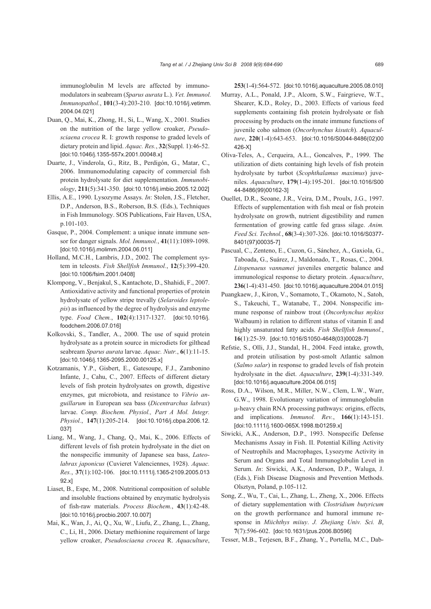immunoglobulin M levels are affected by immunomodulators in seabream (*Sparus aurata* L.). *Vet. Immunol. Immunopathol.*, **101**(3-4):203-210. [doi:10.1016/j.vetimm. 2004.04.021]

- Duan, Q., Mai, K., Zhong, H., Si, L., Wang, X., 2001. Studies on the nutrition of the large yellow croaker, *Pseudosciaena crocea* R. I: growth response to graded levels of dietary protein and lipid. *Aquac. Res.*, **32**(Suppl. 1):46-52. [doi:10.1046/j.1355-557x.2001.00048.x]
- Duarte, J., Vinderola, G., Ritz, B., Perdigón, G., Matar, C., 2006. Immunomodulating capacity of commercial fish protein hydrolysate for diet supplementation. *Immunobiology*, **211**(5):341-350. [doi:10.1016/j.imbio.2005.12.002]
- Ellis, A.E., 1990. Lysozyme Assays. *In*: Stolen, J.S., Fletcher, D.P., Anderson, B.S., Roberson, B.S. (Eds.), Techniques in Fish Immunology. SOS Publications, Fair Haven, USA, p.101-103.
- Gasque, P., 2004. Complement: a unique innate immune sensor for danger signals. *Mol. Immunol.*, **41**(11):1089-1098. [doi:10.1016/j.molimm.2004.06.011]
- Holland, M.C.H., Lambris, J.D., 2002. The complement system in teleosts. *Fish Shellfish Immunol.*, **12**(5):399-420. [doi:10.1006/fsim.2001.0408]
- Klompong, V., Benjakul, S., Kantachote, D., Shahidi, F., 2007. Antioxidative activity and functional properties of protein hydrolysate of yellow stripe trevally (*Selaroides leptolepis*) as influenced by the degree of hydrolysis and enzyme type. *Food Chem.*, **102**(4):1317-1327. [doi:10.1016/j. foodchem.2006.07.016]
- Kolkovski, S., Tandler, A., 2000. The use of squid protein hydrolysate as a protein source in microdiets for gilthead seabream *Sparus aurata* larvae. *Aquac. Nutr.*, **6**(1):11-15. [doi:10.1046/j.1365-2095.2000.00125.x]
- Kotzamanis, Y.P., Gisbert, E., Gatesoupe, F.J., Zambonino Infante, J., Cahu, C., 2007. Effects of different dietary levels of fish protein hydrolysates on growth, digestive enzymes, gut microbiota, and resistance to *Vibrio anguillarum* in European sea bass (*Dicentrarchus labrax*) larvae. *Comp. Biochem. Physiol., Part A Mol. Integr. Physiol.*, **147**(1):205-214. [doi:10.1016/j.cbpa.2006.12. 037]
- Liang, M., Wang, J., Chang, Q., Mai, K., 2006. Effects of different levels of fish protein hydrolysate in the diet on the nonspecific immunity of Japanese sea bass, *Lateolabrax japonicus* (Cuvieret Valenciennes, 1928). *Aquac. Res.*, **37**(1):102-106. [doi:10.1111/j.1365-2109.2005.013 92.x]
- Liaset, B., Espe, M., 2008. Nutritional composition of soluble and insoluble fractions obtained by enzymatic hydrolysis of fish-raw materials. *Process Biochem.*, **43**(1):42-48. [doi:10.1016/j.procbio.2007.10.007]
- Mai, K., Wan, J., Ai, Q., Xu, W., Liufu, Z., Zhang, L., Zhang, C., Li, H., 2006. Dietary methionine requirement of large yellow croaker, *Pseudosciaena crocea* R. *Aquaculture*,

**253**(1-4):564-572. [doi:10.1016/j.aquaculture.2005.08.010]

- Murray, A.L., Ponald, J.P., Alcorn, S.W., Fairgrieve, W.T., Shearer, K.D., Roley, D., 2003. Effects of various feed supplements containing fish protein hydrolysate or fish processing by products on the innate immune functions of juvenile coho salmon (*Oncorhynchus kisutch*). *Aquaculture*, **220**(1-4):643-653. [doi:10.1016/S0044-8486(02)00 426-X]
- Oliva-Teles, A., Cerqueira, A.L., Goncalves, P., 1999. The utilization of diets containing high levels of fish protein hydrolysate by turbot (*Scophthalamus maximus*) juveniles. *Aquaculture*, **179**(1-4):195-201. [doi:10.1016/S00 44-8486(99)00162-3]
- Ouellet, D.R., Seoane, J.R., Veira, D.M., Proulx, J.G., 1997. Effects of supplementation with fish meal or fish protein hydrolysate on growth, nutrient digestibility and rumen fermentation of growing cattle fed grass silage. *Anim. Feed Sci. Technol.*, **68**(3-4):307-326. [doi:10.1016/S0377- 8401(97)00035-7]
- Pascual, C., Zenteno, E., Cuzon, G., Sánchez, A., Gaxiola, G., Taboada, G., Suárez, J., Maldonado, T., Rosas, C., 2004. *Litopenaeus vannamei* juveniles energetic balance and immunological response to dietary protein. *Aquaculture*, **236**(1-4):431-450. [doi:10.1016/j.aquaculture.2004.01.015]
- Puangkaew, J., Kiron, V., Somamoto, T., Okamoto, N., Satoh, S., Takeuchi, T., Watanabe, T., 2004. Nonspecific immune response of rainbow trout (*Oncorhynchus mykiss*  Walbaum) in relation to different status of vitamin E and highly unsaturated fatty acids. *Fish Shellfish Immunol.*, **16**(1):25-39. [doi:10.1016/S1050-4648(03)00028-7]
- Refstie, S., Olli, J.J., Standal, H., 2004. Feed intake, growth, and protein utilisation by post-smolt Atlantic salmon (*Salmo salar*) in response to graded levels of fish protein hydrolysate in the diet. *Aquaculture*, **239**(1-4):331-349. [doi:10.1016/j.aquaculture.2004.06.015]
- Ross, D.A., Wilson, M.R., Miller, N.W., Clem, L.W., Warr, G.W., 1998. Evolutionary variation of immunoglobulin μ-heavy chain RNA processing pathways: origins, effects, and implications. *Immunol. Rev.*, **166**(1):143-151. [doi:10.1111/j.1600-065X.1998.tb01259.x]
- Siwicki, A.K., Anderson, D.P., 1993. Nonspecific Defense Mechanisms Assay in Fish. II. Potential Killing Activity of Neutrophils and Macrophages, Lysozyme Activity in Serum and Organs and Total Immunoglobulin Level in Serum. *In*: Siwicki, A.K., Anderson, D.P., Waluga, J. (Eds.), Fish Disease Diagnosis and Prevention Methods. Olsztyn, Poland, p.105-112.
- Song, Z., Wu, T., Cai, L., Zhang, L., Zheng, X., 2006. Effects of dietary supplementation with *Clostridium butyricum* on the growth performance and humoral immune response in *Miichthys miiuy*. *J. Zhejiang Univ. Sci. B*, **7**(7):596-602. [doi:10.1631/jzus.2006.B0596]
- Tesser, M.B., Terjesen, B.F., Zhang, Y., Portella, M.C., Dab-